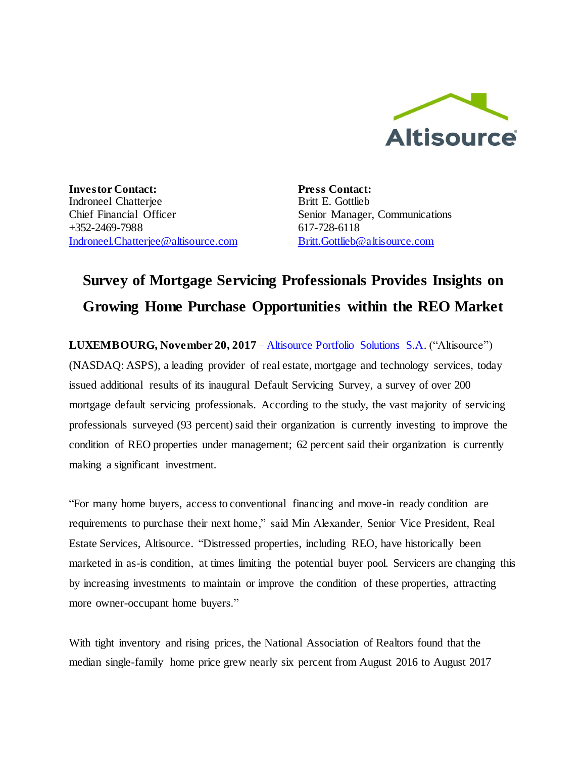

**Investor Contact:** Indroneel Chatterjee Chief Financial Officer +352-2469-7988 [Indroneel.Chatterjee@altisource.com](mailto:Indroneel.Chatterjee@altisource.com) **Press Contact:** Britt E. Gottlieb Senior Manager, Communications 617-728-6118 [Britt.Gottlieb@altisource.com](mailto:Britt.Gottlieb@altisource.com)

## **Survey of Mortgage Servicing Professionals Provides Insights on Growing Home Purchase Opportunities within the REO Market**

**LUXEMBOURG, November 20, 2017** – [Altisource Portfolio Solutions S.A.](https://www.altisource.com/?utm_campaign=ServicerSurvey2&utm_source=PR&utm_medium=PR&utm_content=first) ("Altisource") (NASDAQ: ASPS), a leading provider of real estate, mortgage and technology services, today issued additional results of its inaugural Default Servicing Survey, a survey of over 200 mortgage default servicing professionals. According to the study, the vast majority of servicing professionals surveyed (93 percent) said their organization is currently investing to improve the condition of REO properties under management; 62 percent said their organization is currently making a significant investment.

"For many home buyers, access to conventional financing and move-in ready condition are requirements to purchase their next home," said Min Alexander, Senior Vice President, Real Estate Services, Altisource. "Distressed properties, including REO, have historically been marketed in as-is condition, at times limiting the potential buyer pool. Servicers are changing this by increasing investments to maintain or improve the condition of these properties, attracting more owner-occupant home buyers."

With tight inventory and rising prices, the National Association of Realtors found that the median single-family home price grew nearly six percent from August 2016 to August 2017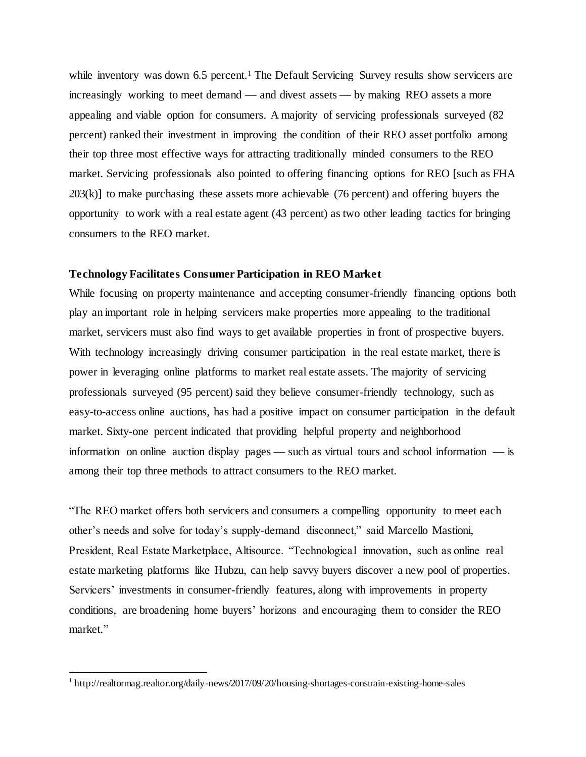while inventory was down 6.5 percent.<sup>1</sup> The Default Servicing Survey results show servicers are increasingly working to meet demand — and divest assets — by making REO assets a more appealing and viable option for consumers. A majority of servicing professionals surveyed (82 percent) ranked their investment in improving the condition of their REO asset portfolio among their top three most effective ways for attracting traditionally minded consumers to the REO market. Servicing professionals also pointed to offering financing options for REO [such as FHA 203(k)] to make purchasing these assets more achievable (76 percent) and offering buyers the opportunity to work with a real estate agent (43 percent) as two other leading tactics for bringing consumers to the REO market.

## **Technology Facilitates Consumer Participation in REO Market**

While focusing on property maintenance and accepting consumer-friendly financing options both play an important role in helping servicers make properties more appealing to the traditional market, servicers must also find ways to get available properties in front of prospective buyers. With technology increasingly driving consumer participation in the real estate market, there is power in leveraging online platforms to market real estate assets. The majority of servicing professionals surveyed (95 percent) said they believe consumer-friendly technology, such as easy-to-access online auctions, has had a positive impact on consumer participation in the default market. Sixty-one percent indicated that providing helpful property and neighborhood information on online auction display pages — such as virtual tours and school information — is among their top three methods to attract consumers to the REO market.

"The REO market offers both servicers and consumers a compelling opportunity to meet each other's needs and solve for today's supply-demand disconnect," said Marcello Mastioni, President, Real Estate Marketplace, Altisource. "Technological innovation, such as online real estate marketing platforms like Hubzu, can help savvy buyers discover a new pool of properties. Servicers' investments in consumer-friendly features, along with improvements in property conditions, are broadening home buyers' horizons and encouraging them to consider the REO market."

1

<sup>&</sup>lt;sup>1</sup> http://realtormag.realtor.org/daily-news/2017/09/20/housing-shortages-constrain-existing-home-sales